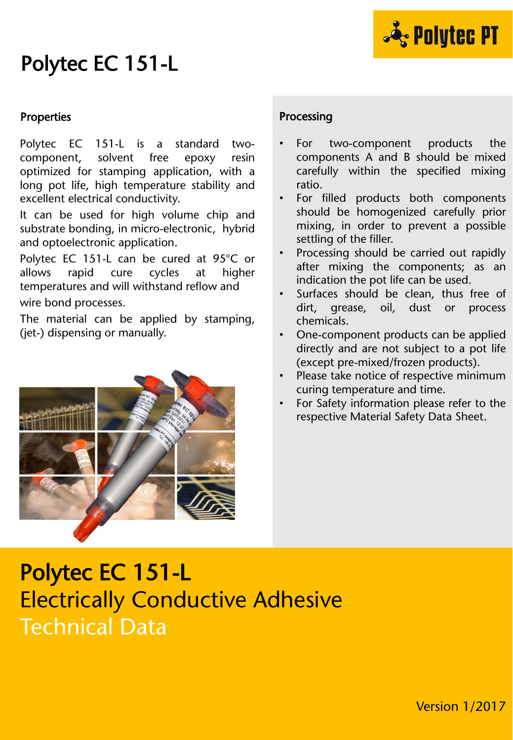

### Polytec EC 151-L

#### **Properties**

Polytec EC 151-L is a standard twocomponent, solvent free epoxy resin optimized for stamping application, with a long pot life, high temperature stability and excellent electrical conductivity.

It can be used for high volume chip and substrate bonding, in micro-electronic, hybrid and optoelectronic application.

Polytec EC 151-L can be cured at 95°C or allows rapid cure cycles at higher temperatures and will withstand reflow and wire bond processes.

The material can be applied by stamping, (jet-) dispensing or manually.



### Processing

- For two-component products the components A and B should be mixed carefully within the specified mixing ratio.
- For filled products both components should be homogenized carefully prior mixing, in order to prevent a possible settling of the filler.
- Processing should be carried out rapidly after mixing the components; as an indication the pot life can be used.
- Surfaces should be clean, thus free of dirt, grease, oil, dust or process chemicals.
- One-component products can be applied directly and are not subject to a pot life (except pre-mixed/frozen products).
- Please take notice of respective minimum curing temperature and time.
- For Safety information please refer to the respective Material Safety Data Sheet.

## Polytec EC 151-L Electrically Conductive Adhesive Technical Data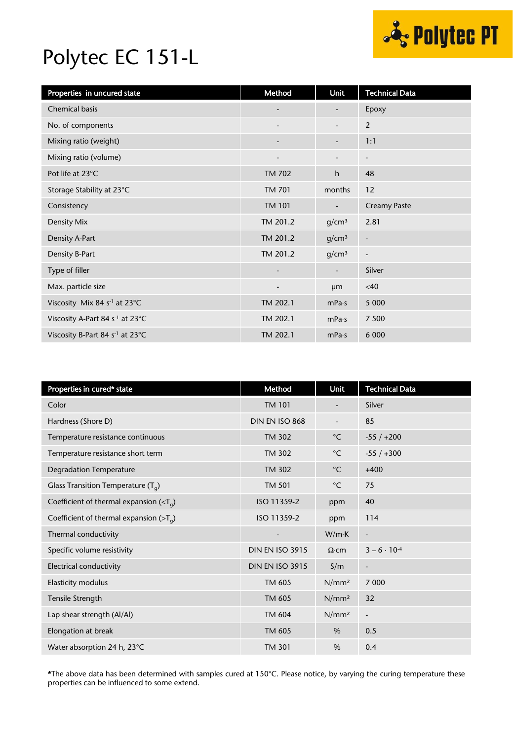

## Polytec EC 151-L

| Properties in uncured state                 | Method                   | Unit                     | <b>Technical Data</b>    |
|---------------------------------------------|--------------------------|--------------------------|--------------------------|
| Chemical basis                              |                          | $\overline{\phantom{m}}$ | Epoxy                    |
| No. of components                           |                          | -                        | 2                        |
| Mixing ratio (weight)                       |                          | $\overline{\phantom{a}}$ | 1:1                      |
| Mixing ratio (volume)                       |                          |                          | $\overline{\phantom{a}}$ |
| Pot life at 23°C                            | <b>TM 702</b>            | h                        | 48                       |
| Storage Stability at 23°C                   | <b>TM 701</b>            | months                   | 12                       |
| Consistency                                 | <b>TM 101</b>            | -                        | <b>Creamy Paste</b>      |
| Density Mix                                 | TM 201.2                 | g/cm <sup>3</sup>        | 2.81                     |
| Density A-Part                              | TM 201.2                 | g/cm <sup>3</sup>        | $\overline{\phantom{a}}$ |
| Density B-Part                              | TM 201.2                 | g/cm <sup>3</sup>        | $\overline{\phantom{a}}$ |
| Type of filler                              | $\overline{\phantom{m}}$ | -                        | Silver                   |
| Max. particle size                          | $\overline{\phantom{a}}$ | µm                       | <40                      |
| Viscosity Mix 84 s <sup>-1</sup> at 23°C    | TM 202.1                 | mPa·s                    | 5 0 0 0                  |
| Viscosity A-Part 84 s <sup>-1</sup> at 23°C | TM 202.1                 | mPa·s                    | 7 500                    |
| Viscosity B-Part 84 s <sup>-1</sup> at 23°C | TM 202.1                 | mPa·s                    | 6 0 0 0                  |

| Properties in cured* state                 | Method                   | Unit              | <b>Technical Data</b>        |
|--------------------------------------------|--------------------------|-------------------|------------------------------|
| Color                                      | <b>TM 101</b>            |                   | Silver                       |
| Hardness (Shore D)                         | DIN EN ISO 868           |                   | 85                           |
| Temperature resistance continuous          | <b>TM 302</b>            | $^{\circ}$ C      | $-55/+200$                   |
| Temperature resistance short term          | <b>TM 302</b>            | $^{\circ}$ C      | $-55/+300$                   |
| <b>Degradation Temperature</b>             | <b>TM 302</b>            | $^{\circ}$ C      | $+400$                       |
| Glass Transition Temperature $(T_q)$       | <b>TM 501</b>            | $^{\circ}$ C      | 75                           |
| Coefficient of thermal expansion $(T_q)$   | ISO 11359-2              | ppm               | 40                           |
| Coefficient of thermal expansion ( $>Ta$ ) | ISO 11359-2              | ppm               | 114                          |
| Thermal conductivity                       | $\overline{\phantom{a}}$ | W/mK              | $\blacksquare$               |
| Specific volume resistivity                | <b>DIN EN ISO 3915</b>   | $\Omega$ ·cm      | $3 - 6 \cdot 10^{-4}$        |
| Electrical conductivity                    | <b>DIN EN ISO 3915</b>   | S/m               | $\qquad \qquad \blacksquare$ |
| Elasticity modulus                         | TM 605                   | N/mm <sup>2</sup> | 7 0 0 0                      |
| Tensile Strength                           | TM 605                   | N/mm <sup>2</sup> | 32                           |
| Lap shear strength (Al/Al)                 | <b>TM 604</b>            | N/mm <sup>2</sup> | $\frac{1}{2}$                |
| Elongation at break                        | TM 605                   | $\%$              | 0.5                          |
| Water absorption 24 h, 23°C                | <b>TM 301</b>            | $\frac{0}{0}$     | 0.4                          |

\*The above data has been determined with samples cured at 150°C. Please notice, by varying the curing temperature these properties can be influenced to some extend.